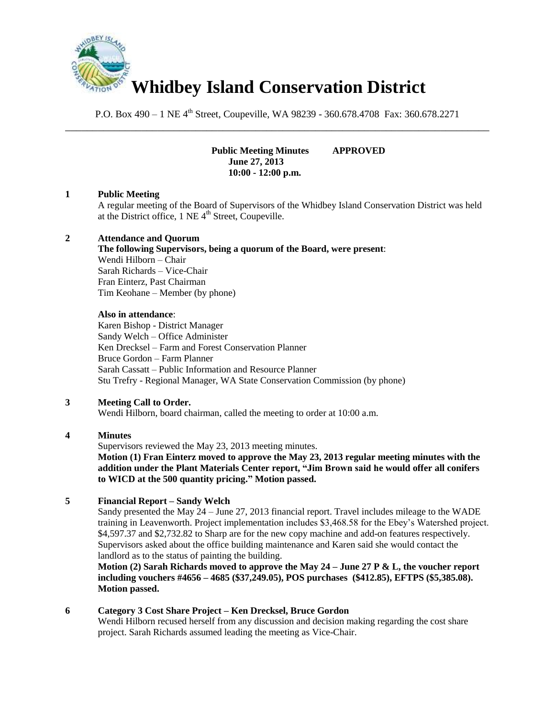

P.O. Box 490 – 1 NE 4<sup>th</sup> Street, Coupeville, WA 98239 - 360.678.4708 Fax: 360.678.2271 \_\_\_\_\_\_\_\_\_\_\_\_\_\_\_\_\_\_\_\_\_\_\_\_\_\_\_\_\_\_\_\_\_\_\_\_\_\_\_\_\_\_\_\_\_\_\_\_\_\_\_\_\_\_\_\_\_\_\_\_\_\_\_\_\_\_\_\_\_\_\_\_\_\_\_\_\_\_

> **Public Meeting Minutes APPROVED June 27, 2013 10:00 - 12:00 p.m.**

### **1 Public Meeting**

A regular meeting of the Board of Supervisors of the Whidbey Island Conservation District was held at the District office,  $1$  NE  $4<sup>th</sup>$  Street, Coupeville.

### **2 Attendance and Quorum**

### **The following Supervisors, being a quorum of the Board, were present**:

Wendi Hilborn – Chair Sarah Richards – Vice-Chair Fran Einterz, Past Chairman Tim Keohane – Member (by phone)

### **Also in attendance**:

Karen Bishop - District Manager Sandy Welch – Office Administer Ken Drecksel – Farm and Forest Conservation Planner Bruce Gordon – Farm Planner Sarah Cassatt – Public Information and Resource Planner Stu Trefry - Regional Manager, WA State Conservation Commission (by phone)

### **3 Meeting Call to Order.**

Wendi Hilborn, board chairman, called the meeting to order at 10:00 a.m.

### **4 Minutes**

Supervisors reviewed the May 23, 2013 meeting minutes.

**Motion (1) Fran Einterz moved to approve the May 23, 2013 regular meeting minutes with the addition under the Plant Materials Center report, "Jim Brown said he would offer all conifers to WICD at the 500 quantity pricing." Motion passed.**

### **5 Financial Report – Sandy Welch**

Sandy presented the May 24 – June 27, 2013 financial report. Travel includes mileage to the WADE training in Leavenworth. Project implementation includes \$3,468.58 for the Ebey's Watershed project. \$4,597.37 and \$2,732.82 to Sharp are for the new copy machine and add-on features respectively. Supervisors asked about the office building maintenance and Karen said she would contact the landlord as to the status of painting the building.

**Motion (2) Sarah Richards moved to approve the May 24 – June 27 P & L, the voucher report including vouchers #4656 – 4685 (\$37,249.05), POS purchases (\$412.85), EFTPS (\$5,385.08). Motion passed.** 

### **6 Category 3 Cost Share Project – Ken Drecksel, Bruce Gordon**

Wendi Hilborn recused herself from any discussion and decision making regarding the cost share project. Sarah Richards assumed leading the meeting as Vice-Chair.